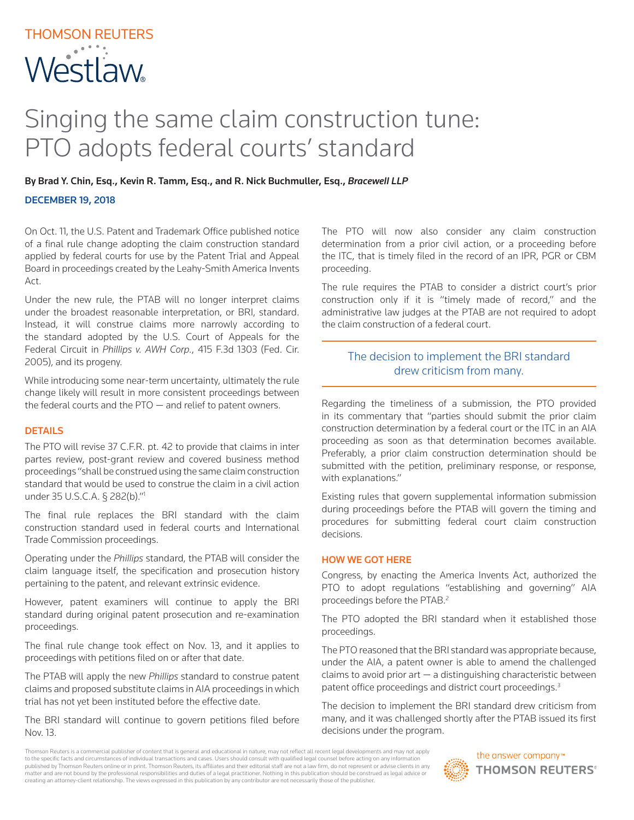# THOMSON REUTERS **Westlaw**

## Singing the same claim construction tune: PTO adopts federal courts' standard

By Brad Y. Chin, Esq., Kevin R. Tamm, Esq., and R. Nick Buchmuller, Esq., *Bracewell LLP*

#### DECEMBER 19, 2018

On Oct. 11, the U.S. Patent and Trademark Office published notice of a final rule change adopting the claim construction standard applied by federal courts for use by the Patent Trial and Appeal Board in proceedings created by the Leahy-Smith America Invents Act.

Under the new rule, the PTAB will no longer interpret claims under the broadest reasonable interpretation, or BRI, standard. Instead, it will construe claims more narrowly according to the standard adopted by the U.S. Court of Appeals for the Federal Circuit in *Phillips v. AWH Corp.*, 415 F.3d 1303 (Fed. Cir. 2005), and its progeny.

While introducing some near-term uncertainty, ultimately the rule change likely will result in more consistent proceedings between the federal courts and the  $PTO -$  and relief to patent owners.

#### DETAILS

The PTO will revise 37 C.F.R. pt. 42 to provide that claims in inter partes review, post-grant review and covered business method proceedings "shall be construed using the same claim construction standard that would be used to construe the claim in a civil action under 35 U.S.C.A. § 282(b)."1

The final rule replaces the BRI standard with the claim construction standard used in federal courts and International Trade Commission proceedings.

Operating under the *Phillips* standard, the PTAB will consider the claim language itself, the specification and prosecution history pertaining to the patent, and relevant extrinsic evidence.

However, patent examiners will continue to apply the BRI standard during original patent prosecution and re-examination proceedings.

The final rule change took effect on Nov. 13, and it applies to proceedings with petitions filed on or after that date.

The PTAB will apply the new *Phillips* standard to construe patent claims and proposed substitute claims in AIA proceedings in which trial has not yet been instituted before the effective date.

The BRI standard will continue to govern petitions filed before Nov. 13.

The PTO will now also consider any claim construction determination from a prior civil action, or a proceeding before the ITC, that is timely filed in the record of an IPR, PGR or CBM proceeding.

The rule requires the PTAB to consider a district court's prior construction only if it is "timely made of record," and the administrative law judges at the PTAB are not required to adopt the claim construction of a federal court.

## The decision to implement the BRI standard drew criticism from many.

Regarding the timeliness of a submission, the PTO provided in its commentary that "parties should submit the prior claim construction determination by a federal court or the ITC in an AIA proceeding as soon as that determination becomes available. Preferably, a prior claim construction determination should be submitted with the petition, preliminary response, or response, with explanations."

Existing rules that govern supplemental information submission during proceedings before the PTAB will govern the timing and procedures for submitting federal court claim construction decisions.

#### HOW WE GOT HERE

Congress, by enacting the America Invents Act, authorized the PTO to adopt regulations "establishing and governing" AIA proceedings before the PTAB.<sup>2</sup>

The PTO adopted the BRI standard when it established those proceedings.

The PTO reasoned that the BRI standard was appropriate because, under the AIA, a patent owner is able to amend the challenged claims to avoid prior  $art - a$  distinguishing characteristic between patent office proceedings and district court proceedings.3

The decision to implement the BRI standard drew criticism from many, and it was challenged shortly after the PTAB issued its first decisions under the program.

Thomson Reuters is a commercial publisher of content that is general and educational in nature, may not reflect all recent legal developments and may not apply to the specific facts and circumstances of individual transactions and cases. Users should consult with qualified legal counsel before acting on any information published by Thomson Reuters online or in print. Thomson Reuters, its affiliates and their editorial staff are not a law firm, do not represent or advise clients in any matter and are not bound by the professional responsibilities and duties of a legal practitioner. Nothing in this publication should be construed as legal advice or creating an attorney-client relationship. The views expressed in this publication by any contributor are not necessarily those of the publisher.

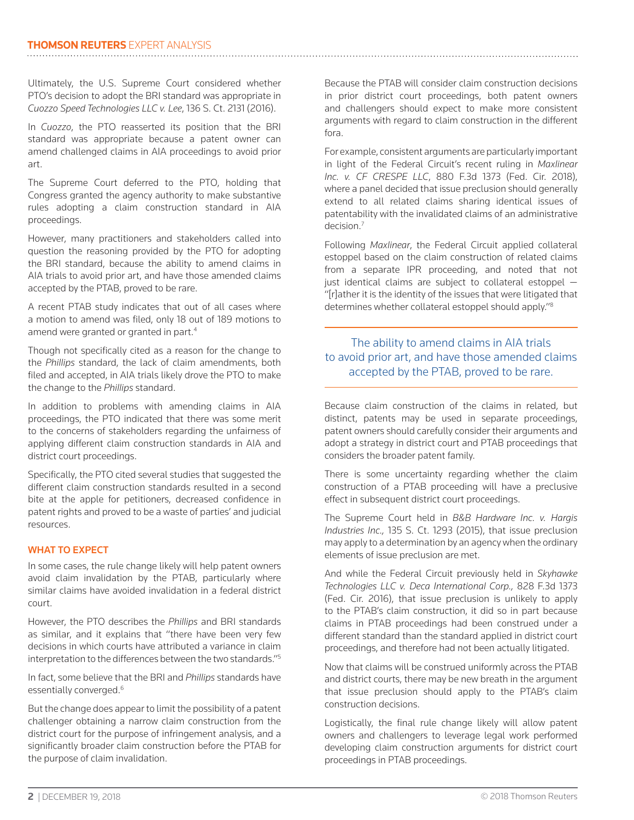Ultimately, the U.S. Supreme Court considered whether PTO's decision to adopt the BRI standard was appropriate in *Cuozzo Speed Technologies LLC v. Lee*, 136 S. Ct. 2131 (2016).

In *Cuozzo*, the PTO reasserted its position that the BRI standard was appropriate because a patent owner can amend challenged claims in AIA proceedings to avoid prior art.

The Supreme Court deferred to the PTO, holding that Congress granted the agency authority to make substantive rules adopting a claim construction standard in AIA proceedings.

However, many practitioners and stakeholders called into question the reasoning provided by the PTO for adopting the BRI standard, because the ability to amend claims in AIA trials to avoid prior art, and have those amended claims accepted by the PTAB, proved to be rare.

A recent PTAB study indicates that out of all cases where a motion to amend was filed, only 18 out of 189 motions to amend were granted or granted in part.4

Though not specifically cited as a reason for the change to the *Phillips* standard, the lack of claim amendments, both filed and accepted, in AIA trials likely drove the PTO to make the change to the *Phillips* standard.

In addition to problems with amending claims in AIA proceedings, the PTO indicated that there was some merit to the concerns of stakeholders regarding the unfairness of applying different claim construction standards in AIA and district court proceedings.

Specifically, the PTO cited several studies that suggested the different claim construction standards resulted in a second bite at the apple for petitioners, decreased confidence in patent rights and proved to be a waste of parties' and judicial resources.

#### WHAT TO EXPECT

In some cases, the rule change likely will help patent owners avoid claim invalidation by the PTAB, particularly where similar claims have avoided invalidation in a federal district court.

However, the PTO describes the *Phillips* and BRI standards as similar, and it explains that "there have been very few decisions in which courts have attributed a variance in claim interpretation to the differences between the two standards."5

In fact, some believe that the BRI and *Phillips* standards have essentially converged.<sup>6</sup>

But the change does appear to limit the possibility of a patent challenger obtaining a narrow claim construction from the district court for the purpose of infringement analysis, and a significantly broader claim construction before the PTAB for the purpose of claim invalidation.

Because the PTAB will consider claim construction decisions in prior district court proceedings, both patent owners and challengers should expect to make more consistent arguments with regard to claim construction in the different fora.

For example, consistent arguments are particularly important in light of the Federal Circuit's recent ruling in *Maxlinear Inc. v. CF CRESPE LLC*, 880 F.3d 1373 (Fed. Cir. 2018), where a panel decided that issue preclusion should generally extend to all related claims sharing identical issues of patentability with the invalidated claims of an administrative decision.7

Following *Maxlinear*, the Federal Circuit applied collateral estoppel based on the claim construction of related claims from a separate IPR proceeding, and noted that not just identical claims are subject to collateral estoppel — "[r]ather it is the identity of the issues that were litigated that determines whether collateral estoppel should apply."8

### The ability to amend claims in AIA trials to avoid prior art, and have those amended claims accepted by the PTAB, proved to be rare.

Because claim construction of the claims in related, but distinct, patents may be used in separate proceedings, patent owners should carefully consider their arguments and adopt a strategy in district court and PTAB proceedings that considers the broader patent family.

There is some uncertainty regarding whether the claim construction of a PTAB proceeding will have a preclusive effect in subsequent district court proceedings.

The Supreme Court held in *B&B Hardware Inc. v. Hargis Industries Inc.,* 135 S. Ct. 1293 (2015), that issue preclusion may apply to a determination by an agency when the ordinary elements of issue preclusion are met.

And while the Federal Circuit previously held in *Skyhawke Technologies LLC v. Deca International Corp.,* 828 F.3d 1373 (Fed. Cir. 2016), that issue preclusion is unlikely to apply to the PTAB's claim construction, it did so in part because claims in PTAB proceedings had been construed under a different standard than the standard applied in district court proceedings, and therefore had not been actually litigated.

Now that claims will be construed uniformly across the PTAB and district courts, there may be new breath in the argument that issue preclusion should apply to the PTAB's claim construction decisions.

Logistically, the final rule change likely will allow patent owners and challengers to leverage legal work performed developing claim construction arguments for district court proceedings in PTAB proceedings.